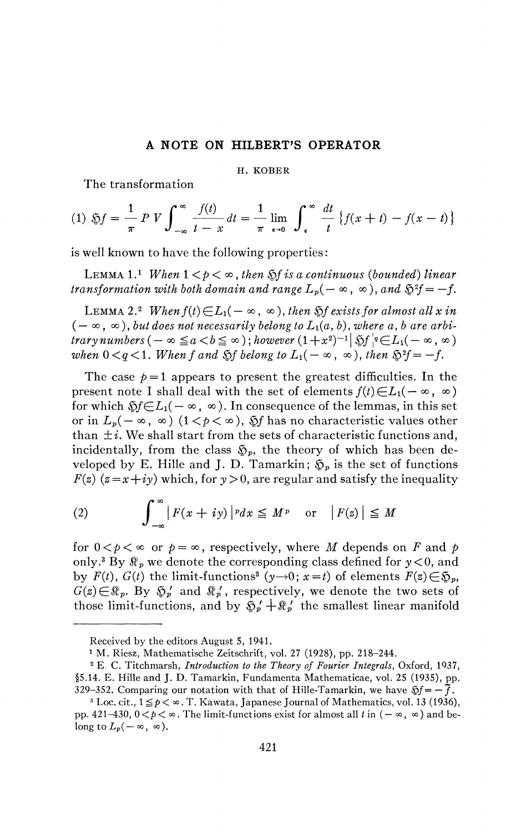## **A NOTE ON HILBERTS OPERATOR**

## H. KOBER

The transformation

(1) 
$$
\mathfrak{H}f = \frac{1}{\pi} P V \int_{-\infty}^{\infty} \frac{f(t)}{t - x} dt = \frac{1}{\pi} \lim_{\epsilon \to 0} \int_{\epsilon}^{\infty} \frac{dt}{t} \{f(x + t) - f(x - t)\}
$$

is well known to have the following properties :

LEMMA 1.<sup>1</sup> When  $1 < p < \infty$ , then  $\Im f$  is a continuous (bounded) linear *transformation with both domain and range*  $L_p(-\infty, \infty)$ *, and*  $\mathfrak{H}^2 f = -f$ *.* 

LEMMA 2.<sup>2</sup> When  $f(t) \in L_1(-\infty, \infty)$ , then  $\Im f$  exists for almost all x in  $(-\infty, \infty)$ , but does not necessarily belong to  $L_1(a, b)$ , where a, b are arbi $r$ *trary numbers* (  $-\infty \leq a < b \leq \infty$  ); however  $(1+x^2)^{-1} |\, \mathfrak{H}^{\, \prime}_A e \in L_1(-\infty, \infty)$ when  $0 < q < 1$ . When f and  $S$  belong to  $L_1(-\infty, \infty)$ , then  $S^2 f = -f$ .

The case  $p=1$  appears to present the greatest difficulties. In the present note I shall deal with the set of elements  $f(t) \in L_1(-\infty, \infty)$ for which  $\mathfrak{H} \in L_1(-\infty, \infty)$ . In consequence of the lemmas, in this set or in  $L_p(-\infty, \infty)$   $(1 < p < \infty)$ ,  $\Im f$  has no characteristic values other than  $\pm i$ . We shall start from the sets of characteristic functions and, incidentally, from the class  $\mathfrak{S}_p$ , the theory of which has been developed by E. Hille and J. D. Tamarkin;  $\mathfrak{S}_p$  is the set of functions  $F(z)$  ( $z=x+iy$ ) which, for  $y>0$ , are regular and satisfy the inequality

(2) 
$$
\int_{-\infty}^{\infty} |F(x+iy)|^p dx \leq M^p \text{ or } |F(z)| \leq M
$$

for  $0 < p < \infty$  or  $p = \infty$ , respectively, where *M* depends on *F* and *p* only.<sup>3</sup> By  $\mathbb{R}_p$  we denote the corresponding class defined for  $y < 0$ , and by  $F(t)$ ,  $G(t)$  the limit-functions<sup>3</sup> (y - + 0);  $x = t$ ) of elements  $F(z) \in \mathfrak{S}_p$ ,  $G(z) \in \mathbb{R}_p$ . By  $\mathfrak{F}'_p$  and  $\mathfrak{F}'_p$ , respectively, we denote the two sets of those limit-functions, and by  $\mathfrak{H}_{p}' + \mathfrak{R}_{p}'$  the smallest linear manifold

Received by the editors August 5, 1941.

<sup>1</sup> M. Riesz, Mathematische Zeitschrift, vol. 27 (1928), pp. 218-244.

<sup>2</sup> E. C. Titchmarsh, *Introduction to the Theory of Fourier Integrals,* Oxford, 1937, §5.14. E. Hille and J. D. Tamarkin, Fundamenta Mathematicae, vol. 25 (1935), pp. 329–352. Comparing our notation with that of Hille-Tamarkin, we have  $\mathcal{S}f = -\tilde{f}$ .

<sup>&</sup>lt;sup>3</sup> Loc. cit.,  $1 \le p < \infty$ . T. Kawata, Japanese Journal of Mathematics, vol. 13 (1936), pp. 421-430,  $0 < p < \infty$ . The limit-functions exist for almost all t in  $(-\infty, \infty)$  and belong to  $L_p(-\infty, \infty)$ .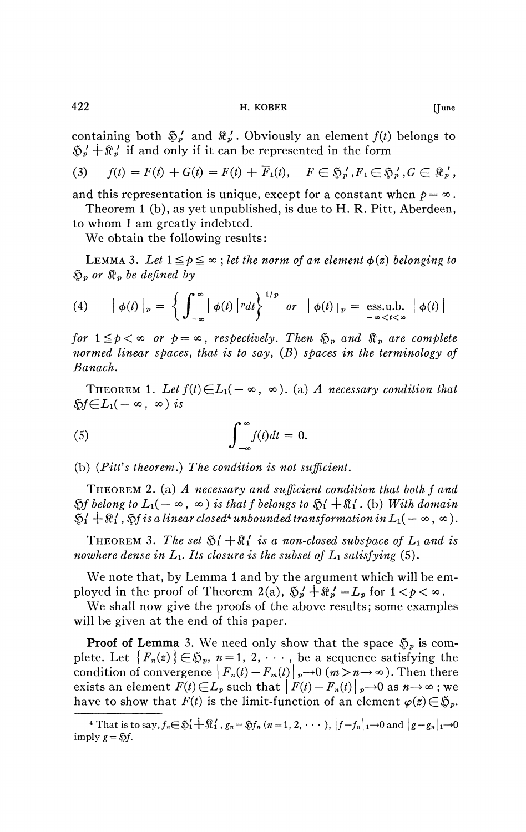containing both  $\mathfrak{F}'_p$  and  $\mathfrak{F}'_p$ . Obviously an element  $f(t)$  belongs to  $\mathfrak{F}_{p}' + \mathfrak{F}_{p}'$  if and only if it can be represented in the form

(3) 
$$
f(t) = F(t) + G(t) = F(t) + \overline{F}_1(t), \quad F \in \mathfrak{H}_p', F_1 \in \mathfrak{H}_p', G \in \mathfrak{K}_p',
$$

and this representation is unique, except for a constant when  $p = \infty$ . Theorem 1 (b), as yet unpublished, is due to H. R. Pitt, Aberdeen,

to whom I am greatly indebted.

We obtain the following results:

LEMMA 3. Let  $1 \leq p \leq \infty$ ; let the norm of an element  $\phi(z)$  belonging to *&P or ®p be defined by* 

(4) 
$$
\left| \phi(t) \right|_{p} = \left\{ \int_{-\infty}^{\infty} \left| \phi(t) \right|^{p} dt \right\}^{1/p} \text{ or } \left| \phi(t) \right|_{p} = \underset{-\infty < t < \infty}{\text{ess.u.b.}} \left| \phi(t) \right|
$$

for  $1 \leq p < \infty$  or  $p = \infty$ , respectively. Then  $\mathfrak{S}_p$  and  $\mathfrak{R}_p$  are complete *normed linear spaces, that is to say,*  $(B)$  *spaces in the terminology of normed linear spaces* in the terminology of  $\frac{1}{2}$  spaces in the terminology of  $\frac{1}{2}$ 

THEOREM 1. Let  $f(t) \in L_1(-\infty, \infty)$ . (a) A necessary condition that  $\mathfrak{H} \in L_1(-\infty, \infty)$  is

(5) 
$$
\int_{-\infty}^{\infty} f(t)dt = 0.
$$

(b) *(Pitt's theorem.) The condition is not sufficient.* 

THEOREM 2. (a) *A necessary and sufficient condition that both f and*   $\mathfrak{H}$  belong to  $L_1(-\infty, \infty)$  is that f belongs to  $\mathfrak{H}' + \mathfrak{R}'$ . (b) With domain  $\mathfrak{H}'_1 + \mathfrak{R}'_1$ ,  $\mathfrak{H}'$  *is a linear closed<sup>4</sup> unbounded transformation in*  $L_1(-\infty, \infty)$ .

THEOREM 3. The set  $\mathfrak{H}'_1 + \mathfrak{R}'_1$  is a non-closed subspace of  $L_1$  and is *nowhere dense in*  $L_1$ *. Its closure is the subset of*  $L_1$  *satisfying* (5).

We note that, by Lemma 1 and by the argument which will be employed in the proof of Theorem 2(a),  $\mathfrak{F}'_p + \mathfrak{F}'_p = L_p$  for  $1 < p < \infty$ .

We shall now give the proofs of the above results; some examples will be given at the end of this paper.

**Proof of Lemma** 3. We need only show that the space  $\mathfrak{S}_p$  is complete. Let  ${F_n(z)} \in \mathfrak{S}_p$ ,  $n = 1, 2, \cdots$ , be a sequence satisfying the condition of convergence  $| F_n(t) - F_m(t) |_{p} \to 0$  ( $m > n \to \infty$ ). Then there exists an element  $F(t) \in L_p$  such that  $|F(t) - F_n(t)|_p \to 0$  as  $n \to \infty$ ; we have to show that  $F(t)$  is the limit-function of an element  $\varphi(z) \in \mathfrak{H}_p$ .

<sup>&</sup>lt;sup>4</sup> That is to say,  $f_n \in \mathfrak{H}'_1 + \mathfrak{R}'_1$ ,  $g_n = \mathfrak{H}f_n$   $(n = 1, 2, \cdots)$ ,  $|f - f_n|_1 \to 0$  and  $|g - g_n|_1 \to 0$ imply  $g = \mathcal{S}f$ .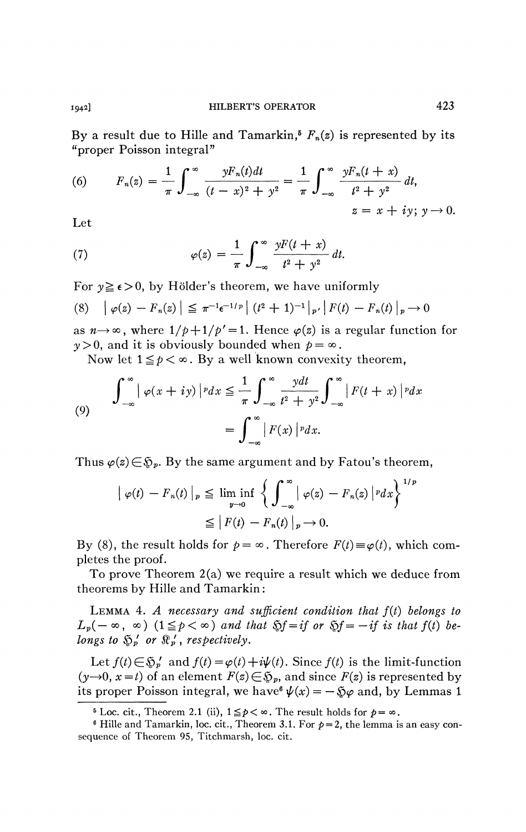By a result due to Hille and Tamarkin,<sup>5</sup>  $F_n(z)$  is represented by its "proper Poisson integral"

(6) 
$$
F_n(z) = \frac{1}{\pi} \int_{-\infty}^{\infty} \frac{yF_n(t)dt}{(t-x)^2 + y^2} = \frac{1}{\pi} \int_{-\infty}^{\infty} \frac{yF_n(t+x)}{t^2 + y^2} dt,
$$
  
  $z = x + iy; y \to 0.$ 

Let

(7) 
$$
\varphi(z) = \frac{1}{\pi} \int_{-\infty}^{\infty} \frac{yF(t+x)}{t^2 + y^2} dt.
$$

For  $y \ge \epsilon > 0$ , by Hölder's theorem, we have uniformly

$$
(8) \quad |\varphi(z) - F_n(z)| \leq \pi^{-1} \epsilon^{-1/p} | (t^2 + 1)^{-1} |_{p'} | F(t) - F_n(t) |_{p} \to 0
$$

as  $n \rightarrow \infty$ , where  $1/p + 1/p' = 1$ . Hence  $\varphi(z)$  is a regular function for  $y>0$ , and it is obviously bounded when  $p = \infty$ .

Now let  $1 \leq p < \infty$ . By a well known convexity theorem,

(9) 
$$
\int_{-\infty}^{\infty} |\varphi(x+iy)|^p dx \leq \frac{1}{\pi} \int_{-\infty}^{\infty} \frac{ydt}{t^2 + y^2} \int_{-\infty}^{\infty} |F(t+x)|^p dx
$$

$$
= \int_{-\infty}^{\infty} |F(x)|^p dx.
$$

Thus  $\varphi(z) \in \mathfrak{H}_p$ . By the same argument and by Fatou's theorem,

$$
\left| \varphi(t) - F_n(t) \right|_p \leq \liminf_{y \to 0} \left\{ \int_{-\infty}^{\infty} \left| \varphi(z) - F_n(z) \right| ^p dx \right\}^{1/p}
$$
  

$$
\leq \left| F(t) - F_n(t) \right|_p \to 0.
$$

By (8), the result holds for  $p = \infty$ . Therefore  $F(t) \equiv \varphi(t)$ , which completes the proof.

To prove Theorem 2(a) we require a result which we deduce from theorems by Hille and Tamarkin :

LEMMA 4. A necessary and sufficient condition that  $f(t)$  belongs to  $L_p(-\infty, \infty)$  ( $1 \leq p < \infty$ ) and that  $\Im f = i f$  or  $\Im f = -i f$  is that  $f(t)$  be*longs to*  $\mathfrak{S}_p'$  or  $\mathfrak{R}_p'$ , respectively.

Let  $f(t) \in \mathfrak{H}_{p}$  and  $f(t) = \varphi(t) + i\psi(t)$ . Since  $f(t)$  is the limit-function  $(y\rightarrow 0, x = t)$  of an element  $F(z) \in \mathfrak{D}_p$ , and since  $F(z)$  is represented by its proper Poisson integral, we have  $\psi(x) = -\sqrt[5]{\varphi}$  and, by Lemmas 1

<sup>&</sup>lt;sup>5</sup> Loc. cit., Theorem 2.1 (ii),  $1 \leq p < \infty$ . The result holds for  $p = \infty$ .

 $6$  Hille and Tamarkin, loc. cit., Theorem 3.1. For  $p=2$ , the lemma is an easy consequence of Theorem 95, Titchmarsh, loc. cit.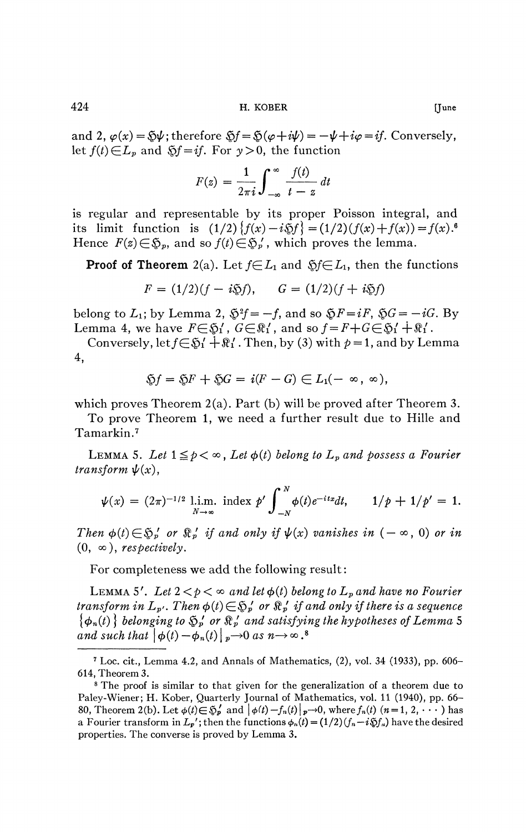424 H. KOBER [June

and 2,  $\varphi(x) = \mathfrak{F}\psi$ ; therefore  $\mathfrak{F}f = \mathfrak{F}(\varphi + i\psi) = -\psi + i\varphi = if$ . Conversely, let  $f(t) \in L_p$  and  $\delta f = i f$ . For  $y > 0$ , the function

$$
F(z) = \frac{1}{2\pi i} \int_{-\infty}^{\infty} \frac{f(t)}{t - z} dt
$$

is regular and representable by its proper Poisson integral, and its limit function is  $(1/2)$   ${f(x) - i \Im f} = (1/2)(f(x) + f(x)) = f(x).$ <sup>6</sup> Hence  $F(z) \in \mathfrak{H}_p$ , and so  $f(t) \in \mathfrak{H}_p'$ , which proves the lemma.

**Proof of Theorem** 2(a). Let  $f \in L_1$  and  $\tilde{g}f \in L_1$ , then the functions

$$
F = (1/2)(f - i\mathfrak{H}f), \qquad G = (1/2)(f + i\mathfrak{H}f)
$$

belong to  $L_1$ ; by Lemma 2,  $\mathfrak{H}^2 = -f$ , and so  $\mathfrak{H}F = iF$ ,  $\mathfrak{H}G = -iG$ . By Lemma 4, we have  $F \in \mathfrak{H}'$ ,  $G \in \mathbb{R}'$ , and so  $f = F + G \in \mathfrak{H}' + \mathfrak{K}'$ .

Conversely, let  $f \in \mathfrak{H}' + \mathfrak{R}'$ . Then, by (3) with  $p = 1$ , and by Lemma 4,

$$
\mathfrak{H}f=\mathfrak{H}F+\mathfrak{H}G=i(F-G)\in L_1(-\infty,\infty),
$$

which proves Theorem 2(a). Part (b) will be proved after Theorem 3.

To prove Theorem 1, we need a further result due to Hille and Tamarkin.<sup>7</sup>

LEMMA 5. Let  $1 \leq p < \infty$ , Let  $\phi(t)$  belong to  $L_p$  and possess a Fourier *transform*  $\psi(x)$ ,

$$
\psi(x) = (2\pi)^{-1/2} \lim_{N \to \infty} \text{ index } p' \int_{-N}^{N} \phi(t) e^{-itx} dt, \qquad 1/p + 1/p' = 1.
$$

*Then*  $\phi(t) \in \mathfrak{H}^{\prime}_{p}$  or  $\mathfrak{R}^{\prime}_{p}$  if and only if  $\psi(x)$  vanishes in  $(-\infty, 0)$  or in  $(0, \infty)$ *, respectively.* 

For completeness we add the following result :

LEMMA 5'. Let  $2 < p < \infty$  and let  $\phi(t)$  belong to  $L_p$  and have no Fourier *transform in*  $L_p$ . Then  $\phi(t) \in \mathfrak{S}_p'$  or  $\mathfrak{R}_p'$  if and only if there is a sequence  $\{\phi_n(t)\}\$ belonging to  $\mathfrak{D}'_p$  or  $\mathfrak{R}'_p$  and satisfying the hypotheses of Lemma 5 *and such that*  $|\phi(t) - \phi_n(t)|_p \rightarrow 0$  *as n* $\rightarrow \infty$ .<sup>8</sup>

<sup>7</sup> Loc. cit., Lemma 4.2, and Annals of Mathematics, (2), vol. 34 (1933), pp. 606- 614, Theorem 3.

<sup>&</sup>lt;sup>8</sup> The proof is similar to that given for the generalization of a theorem due to Paley-Wiener; H. Kober, Quarterly Journal of Mathematics, vol. 11 (1940), pp. 66-80, Theorem 2(b). Let  $\phi(t) \in \mathfrak{D}'_p$  and  $\phi(t) - f_n(t)\phi(t) - \phi(t)$ , where  $f_n(t)$   $(n = 1, 2, \dots)$  has a Fourier transform in  $L_p'$ ; then the functions  $\phi_n(t) = (1/2)(f_n - i \mathfrak{F} f_n)$  have the desired properties. The converse is proved by Lemma 3.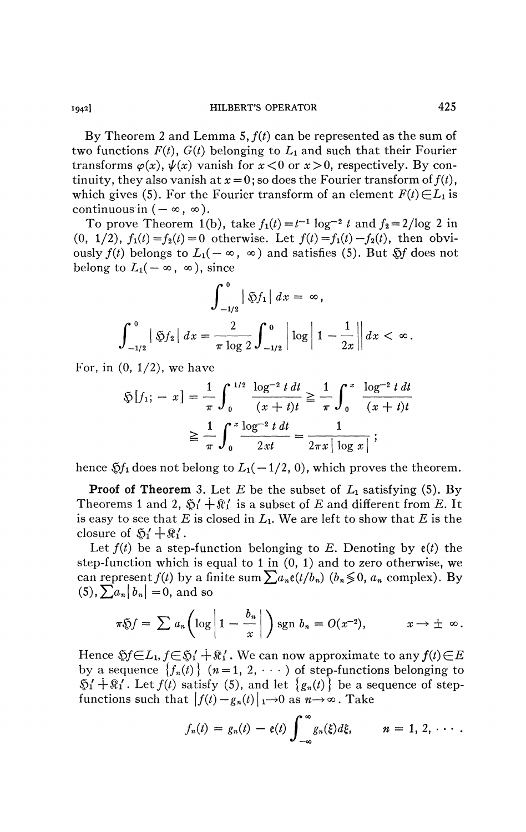By Theorem 2 and Lemma 5,  $f(t)$  can be represented as the sum of two functions  $F(t)$ ,  $G(t)$  belonging to  $L_1$  and such that their Fourier transforms  $\varphi(x)$ ,  $\psi(x)$  vanish for  $x < 0$  or  $x > 0$ , respectively. By continuity, they also vanish at  $x = 0$ ; so does the Fourier transform of  $f(t)$ , which gives (5). For the Fourier transform of an element  $F(t) \in L_1$  is continuous in  $(-\infty, \infty)$ .

To prove Theorem 1(b), take  $f_1(t) = t^{-1} \log^{-2} t$  and  $f_2 = 2/\log 2$  in (0, 1/2),  $f_1(t) = f_2(t) = 0$  otherwise. Let  $f(t) = f_1(t) - f_2(t)$ , then obviously  $f(t)$  belongs to  $L_1(-\infty, \infty)$  and satisfies (5). But  $\mathfrak{H}f$  does not belong to  $L_1(-\infty, \infty)$ , since

$$
\int_{-1/2}^{0} |\Im f_1| dx = \infty,
$$
  

$$
\int_{-1/2}^{0} |\Im f_2| dx = \frac{2}{\pi \log 2} \int_{-1/2}^{0} |\log |1 - \frac{1}{2x}| dx < \infty.
$$

For, in  $(0, 1/2)$ , we have

$$
\mathfrak{D}[f_1; -x] = \frac{1}{\pi} \int_0^{1/2} \frac{\log^{-2} t dt}{(x+t)t} \ge \frac{1}{\pi} \int_0^x \frac{\log^{-2} t dt}{(x+t)t}
$$

$$
\ge \frac{1}{\pi} \int_0^x \frac{\log^{-2} t dt}{2xt} = \frac{1}{2\pi x |\log x|} ;
$$

**7T \*/ o**  hence  $\tilde{\mathfrak{H}}_1$  does not belong to  $L_1(-1/2, 0)$ , which proves the theorem.

**Proof of Theorem** 3. Let  $E$  be the subset of  $L_1$  satisfying (5). By Theorems 1 and 2,  $\mathfrak{H}' + \mathfrak{R}'_1$  is a subset of E and different from E. It is easy to see that *E* is closed in *L\.* We are left to show that *E* is the closure of  $\mathfrak{H}' + \mathfrak{K}'$ .

Let  $f(t)$  be a step-function belonging to E. Denoting by  $e(t)$  the step-function which is equal to 1 in  $(0, 1)$  and to zero otherwise, we can represent  $f(t)$  by a finite sum  $\sum a_n e(t/b_n)$  ( $b_n \leq 0$ ,  $a_n$  complex). By  $(5),\sum a_n|b_n|=0$ , and so

$$
\pi \mathfrak{H} = \sum a_n \bigg( \log \bigg| 1 - \frac{b_n}{x} \bigg| \bigg) \operatorname{sgn} b_n = O(x^{-2}), \qquad x \to \pm \infty.
$$

Hence  $\mathfrak{H} \in L_1, f \in \mathfrak{H}'$  i . We can now approximate to any  $f(t) \in E$ by a sequence  $\{f_n(t)\}\ (n=1, 2, \cdots)$  of step-functions belonging to  $\mathfrak{H}' + \mathfrak{R}'$ . Let  $f(t)$  satisfy (5), and let  $\{g_n(t)\}\)$  be a sequence of stepfunctions such that  $|f(t) - g_n(t)|_1 \to 0$  as  $n \to \infty$ . Take

$$
f_n(t) = g_n(t) - e(t) \int_{-\infty}^{\infty} g_n(\xi) d\xi, \qquad n = 1, 2, \cdots.
$$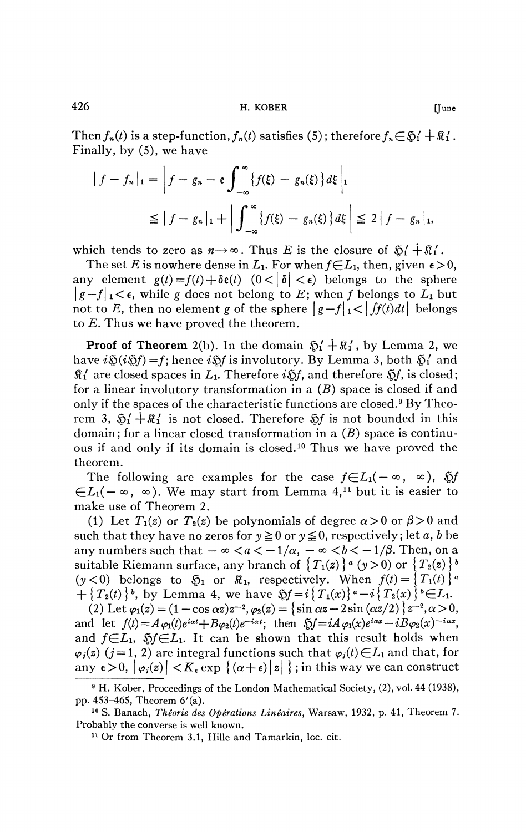426 H. KOBER [June

Then  $f_n(t)$  is a step-function,  $f_n(t)$  satisfies (5); therefore  $f_n \in \mathfrak{H}' + \mathfrak{K}'$ . Finally, by (5), we have

$$
\begin{aligned} \left| \, f - f_n \, \right|_1 &= \left| \, f - g_n - \mathfrak{e} \int_{-\infty}^{\infty} \{ f(\xi) - g_n(\xi) \} \, d\xi \, \right| \\ &\leq \left| \, f - g_n \, \right|_1 + \left| \int_{-\infty}^{\infty} \{ f(\xi) - g_n(\xi) \} \, d\xi \, \right| \leq 2 \, \left| \, f - g_n \, \right|_1, \end{aligned}
$$

which tends to zero as  $n \rightarrow \infty$ . Thus *E* is the closure of  $\mathfrak{H}' + \mathfrak{R}'$ .

The set E is nowhere dense in  $L_1$ . For when  $f\in L_1$ , then, given  $\epsilon>0$ , any element  $g(t) = f(t) + \delta e(t)$   $(0 < |\delta| < \epsilon)$  belongs to the sphere  $\left| g - f \right|_1 < \epsilon$ , while g does not belong to E; when f belongs to  $L_1$  but not to E, then no element g of the sphere  $|g-f|_1 < |f(t)dt|$  belongs to *E.* Thus we have proved the theorem.

**Proof of Theorem** 2(b). In the domain  $\mathfrak{H}' + \mathfrak{R}'$ , by Lemma 2, we have  $i\mathfrak{D}(i\mathfrak{D}f) = f$ ; hence  $i\mathfrak{D}f$  is involutory. By Lemma 3, both  $\mathfrak{D}'_1$  and  $\Re'_1$  are closed spaces in  $L_1$ . Therefore  $i\mathfrak{H}$ , and therefore  $\mathfrak{H}$ , is closed; for a linear involutory transformation in a  $(B)$  space is closed if and only if the spaces of the characteristic functions are closed.<sup>9</sup> By Theorem 3,  $\mathfrak{H}' + \mathfrak{R}'$  is not closed. Therefore  $\mathfrak{H}$  is not bounded in this domain ; for a linear closed transformation in a *(B)* space is continuous if and only if its domain is closed.<sup>10</sup> Thus we have proved the theorem.

The following are examples for the case  $f \in L_1(-\infty, \infty)$ ,  $\mathfrak{H}$  $\bigoplus L_1(-\infty, \infty)$ . We may start from Lemma 4,<sup>11</sup> but it is easier to make use of Theorem 2.

(1) Let  $T_1(z)$  or  $T_2(z)$  be polynomials of degree  $\alpha > 0$  or  $\beta > 0$  and such that they have no zeros for  $y \ge 0$  or  $y \le 0$ , respectively; let a, b be any numbers such that  $-\infty < a < -1/\alpha$ ,  $-\infty < b < -1/\beta$ . Then, on a suitable Riemann surface, any branch of  ${T_1(z)}^a (y>0)$  or  ${T_2(z)}^b$  $(y<0)$  belongs to  $\mathfrak{G}_1$  or  $\mathfrak{K}_1$ , respectively. When  $f(t)=\{T_1(t)\}\$ a *+*{ $T_2(t)$ }<sup>*b*</sup>, by Lemma 4, we have  $\Im f = i \{ T_1(x) \}^a - i \{ T_2(x) \}^b \in L_1$ .

 $(2) \text{ Let } \varphi_1(z) = (1 - \cos \alpha z)z^{-2}, \varphi_2(z) = \{\sin \alpha z - 2\sin(\alpha z/2)\}z^{-2}, \alpha > 0,$ and let  $f(t) = A\varphi_1(t)e^{i\alpha t} + B\varphi_2(t)e^{-i\alpha t}$ ; then  $\mathfrak{H} = iA\varphi_1(x)e^{i\alpha x} - iB\varphi_2(x)^{-i\alpha x}$ , and  $f{\in}L_1$ ,  $\$f{\in}L_1$ . It can be shown that this result holds when  $\varphi_i(z)$  (*j* = 1, 2) are integral functions such that  $\varphi_i(t) \in L_1$  and that, for any  $\epsilon > 0$ ,  $|\varphi_i(z)| < K_{\epsilon} \exp \{(\alpha + \epsilon) |z| \}$ ; in this way we can construct

<sup>9</sup> H. Kober, Proceedings of the London Mathematical Society, (2), vol. 44 (1938), pp. 453-465, Theorem 6'(a).

<sup>10</sup> S. Banach, *Theorie des Opérations Linéaires,* Warsaw, 1932, p. 41, Theorem 7. Probably the converse is well known.

<sup>&</sup>lt;sup>11</sup> Or from Theorem 3.1, Hille and Tamarkin, loc. cit.